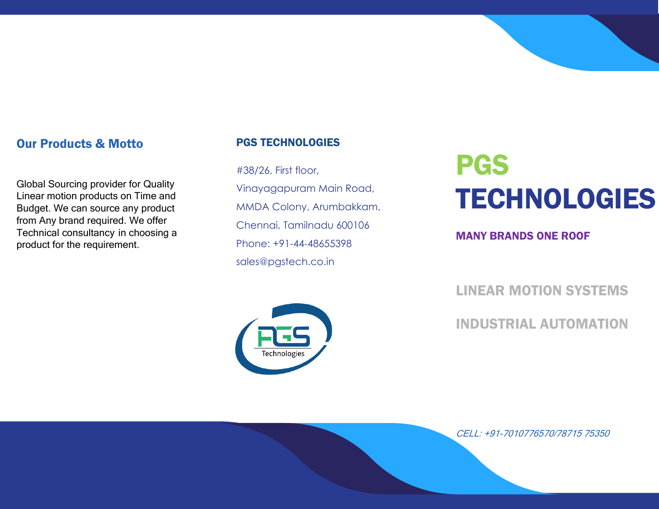### Our Products & Motto

Global Sourcing provider for Quality Linear motion products on Time and Budget. We can source any product from Any brand required. We offer Technical consultancy in choosing a product for the requirement.

### PGS TECHNOLOGIES

#38/26, First floor, Vinayagapuram Main Road, MMDA Colony, Arumbakkam, Chennai, Tamilnadu 600106 Phone: +91-44-48655398 sales@pgstech.co.in



# PGS TECHNOLOGIES

MANY BRANDS ONE ROOF

LINEAR MOTION SYSTEMS

INDUSTRIAL AUTOMATION

CELL: +91-7010776570/78715 75350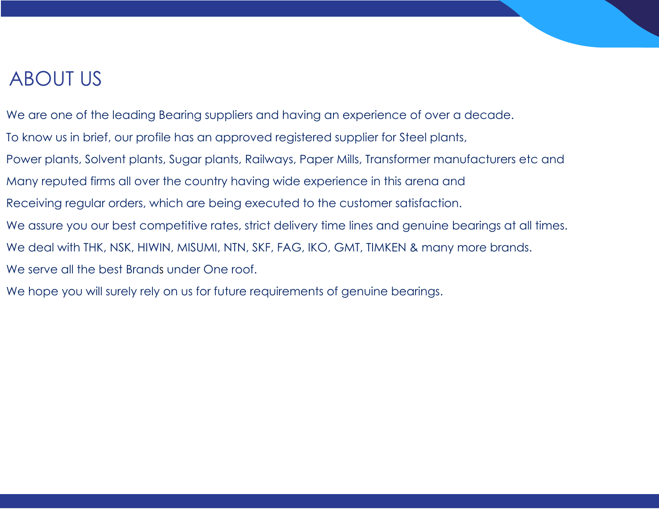# ABOUT US

We are one of the leading Bearing suppliers and having an experience of over a decade. To know us in brief, our profile has an approved registered supplier for Steel plants, Power plants, Solvent plants, Sugar plants, Railways, Paper Mills, Transformer manufacturers etc and Many reputed firms all over the country having wide experience in this arena and Receiving regular orders, which are being executed to the customer satisfaction. We assure you our best competitive rates, strict delivery time lines and genuine bearings at all times. We deal with THK, NSK, HIWIN, MISUMI, NTN, SKF, FAG, IKO, GMT, TIMKEN & many more brands.

We serve all the best Brands under One roof.

We hope you will surely rely on us for future requirements of genuine bearings.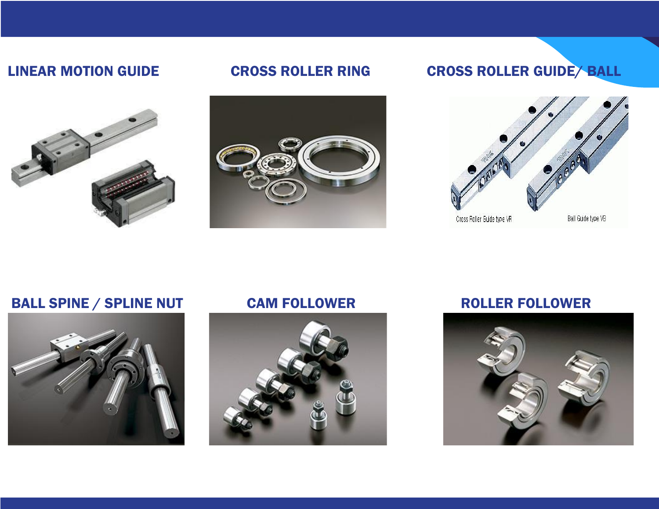

PRECISION/DIN COMPLIANT/ROLLED/GROUND BALLSCREWS



# LINEAR MOTION GUIDE CROSS ROLLER RING CROSS ROLLER GUIDE/ BALL



# BALL SPINE / SPLINE NUT CAM FOLLOWER FOLLOWER





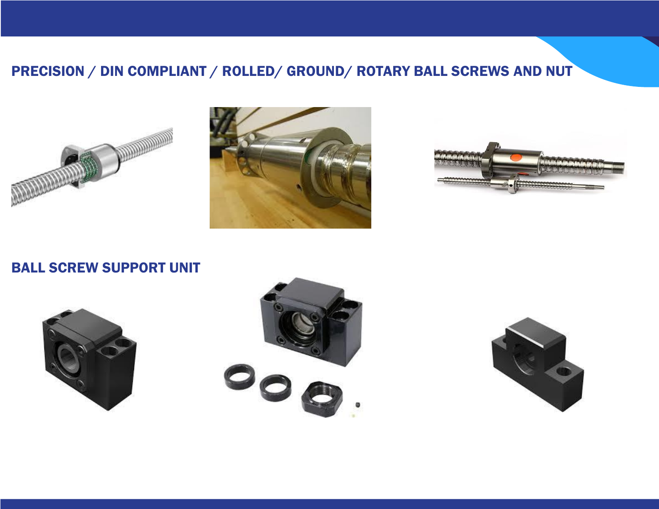# PRECISION / DIN COMPLIANT / ROLLED/ GROUND/ ROTARY BALL SCREWS AND NUT







### BALL SCREW SUPPORT UNIT





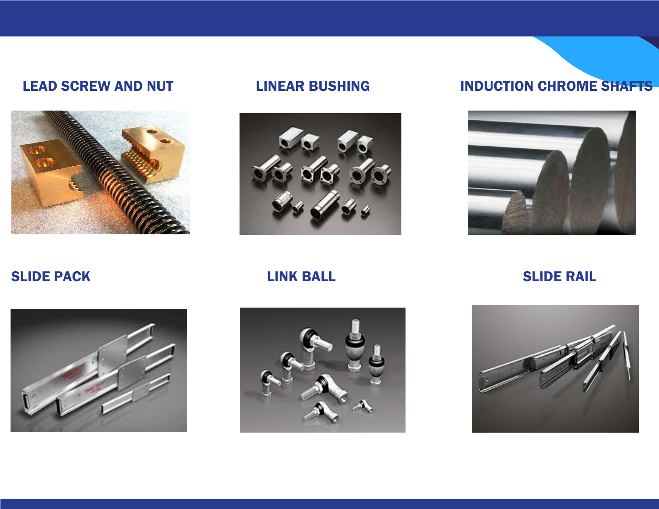



### LEAD SCREW AND NUT LINEAR BUSHING INDUCTION CHROME SHAFTS



SLIDE PACK LINK BALL SLIDE RAIL





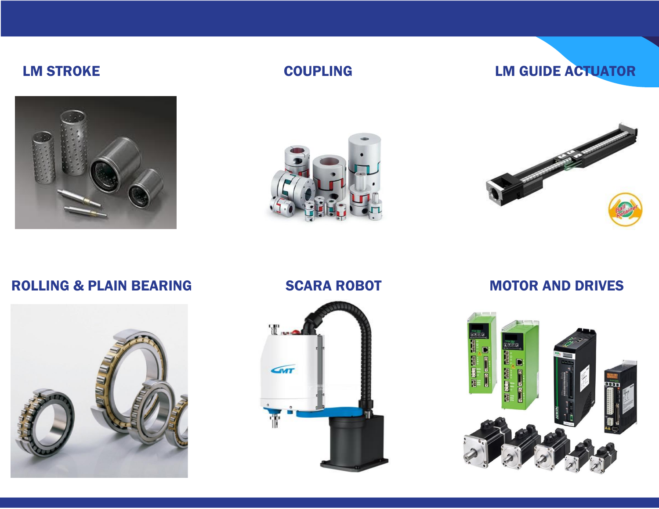

### LM STROKE COUPLING LM GUIDE ACTUATOR





### ROLLING & PLAIN BEARING SCARA ROBOT MOTOR AND DRIVES





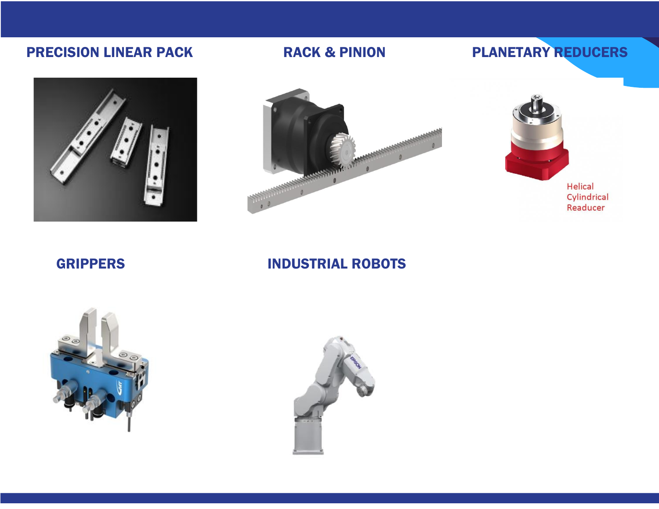

# PRECISION LINEAR PACK **RACK & PINION** PLANETARY REDUCERS





**Helical** Cylindrical Readucer

### GRIPPERS INDUSTRIAL ROBOTS